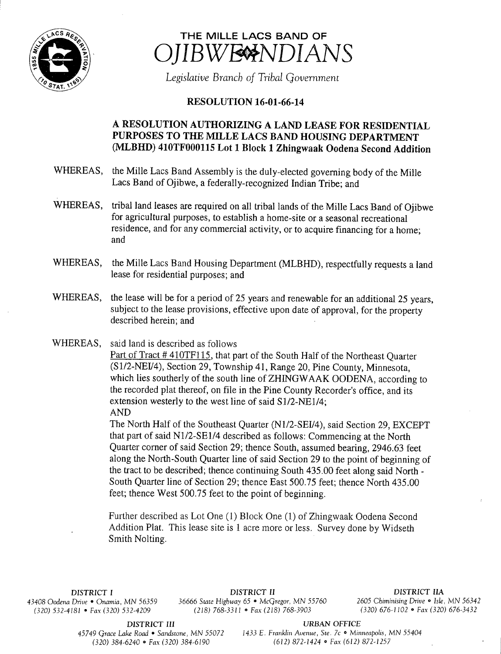

## THE MILLE LACS BAND OF IBWE<sup>N</sup>NDIANS

Legislative Branch of Tribal Government

## **RESOLUTION 16-01-66-14**

## A RESOLUTION AUTHORIZING A LAND LEASE FOR RESIDENTIAL PURPOSES TO THE MILLE LACS BAND HOUSING DEPARTMENT MLBHD) 410TF000115 Lot <sup>1</sup> Block <sup>1</sup> Zhingwaak Oodena Second Addition

- WHEREAS, the Mille Lacs Band Assembly is the duly-elected governing body of the Mille Lacs Band of Ojibwe, a federally-recognized Indian Tribe; and
- WHEREAS, tribal land leases are required on all tribal lands of the Mille Lacs Band of Ojibwe for agricultural purposes, to establish a home- site or a seasonal recreational residence, and for any commercial activity, or to acquire financing for <sup>a</sup> home; and
- WHEREAS, the Mille Lacs Band Housing Department (MLBHD), respectfully requests a land lease for residential purposes; and
- WHEREAS, the lease will be for a period of 25 years and renewable for an additional 25 years, subject to the lease provisions, effective upon date of approval, for the property described herein; and
- WHEREAS, said land is described as follows

Part of Tract #410TF115, that part of the South Half of the Northeast Quarter (S1/2-NEI/4), Section 29, Township 41, Range 20, Pine County, Minnesota, which lies southerly of the south line of ZHINGWAAK OODENA, according to the recorded plat thereof, on file in the Pine County Recorder's office, and its extension westerly to the west line of said S1/2-NE1/4; AND

The North Half of the Southeast Quarter (N1/2-SEI/4), said Section 29, EXCEPT that part of said N1/2-SE1/4 described as follows: Commencing at the North Quarter corner of said Section 29; thence South, assumed bearing, 2946.63 feet along the North-South Quarter line of said Section 29 to the point of beginning of the tract to be described; thence continuing South 435. 00 feet along said North - South Quarter line of Section 29; thence East 500.75 feet; thence North 435. 00 feet; thence West 500.75 feet to the point of beginning.

Further described as Lot One (1) Block One (1) of Zhingwaak Oodena Second Addition Plat. This lease site is <sup>1</sup> acre more or less. Survey done by Widseth Smith Nolting.

 $(320)$  532-4181 • Fax(320) 532-4209

DISTRICT I **DISTRICT II**<br>Drive • Onamia, MN 56359 36666 State Highway 65 • McGregor, MN 55760 2605 Chiminising Drive • Isle, MN 56342 43408 Oodena Drive • Onamia, MN 56359 36666 State Highway 65 • McGregor, MN 55760 2605 Chiminising Drive • Isle, MN 5634<br>230) 232-4181 • Fax (320) 332-4209 (218) 768-3311 • Fax (218) 768-3903 (320) 676-1102 • Fax (320) 676

DISTRICT III URBAN OFFICE<br>45749 Grace Lake Road • Sandstone, MN 55072 1433 E. Franklin Avenue, Ste. 7c • Min

1433 E. Franklin Avenue, Ste. 7c • Minneapolis, MN 55404 320) 384- 6240 • Fax( 320) 384- 6190 612) 872- 1424 • Fax( 612) 872- 1257